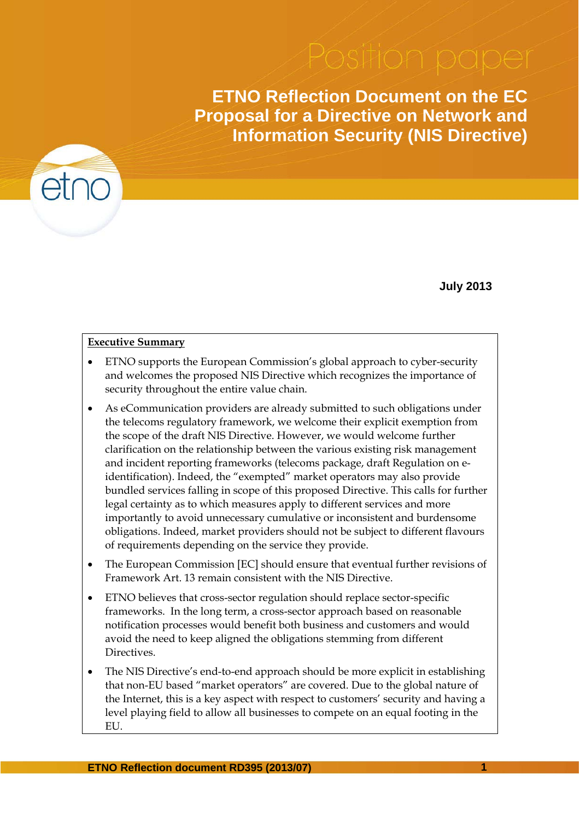**ETNO Reflection Document on the EC Proposal for a Directive on Network and Inform**a**tion Security (NIS Directive)**



#### **July 2013**

#### **Executive Summary**

- ETNO supports the European Commission's global approach to cyber-security and welcomes the proposed NIS Directive which recognizes the importance of security throughout the entire value chain.
- As eCommunication providers are already submitted to such obligations under the telecoms regulatory framework, we welcome their explicit exemption from the scope of the draft NIS Directive. However, we would welcome further clarification on the relationship between the various existing risk management and incident reporting frameworks (telecoms package, draft Regulation on eidentification). Indeed, the "exempted" market operators may also provide bundled services falling in scope of this proposed Directive. This calls for further legal certainty as to which measures apply to different services and more importantly to avoid unnecessary cumulative or inconsistent and burdensome obligations. Indeed, market providers should not be subject to different flavours of requirements depending on the service they provide.
- The European Commission [EC] should ensure that eventual further revisions of Framework Art. 13 remain consistent with the NIS Directive.
- ETNO believes that cross-sector regulation should replace sector-specific frameworks. In the long term, a cross-sector approach based on reasonable notification processes would benefit both business and customers and would avoid the need to keep aligned the obligations stemming from different Directives.
- The NIS Directive's end-to-end approach should be more explicit in establishing that non-EU based "market operators" are covered. Due to the global nature of the Internet, this is a key aspect with respect to customers' security and having a level playing field to allow all businesses to compete on an equal footing in the EU.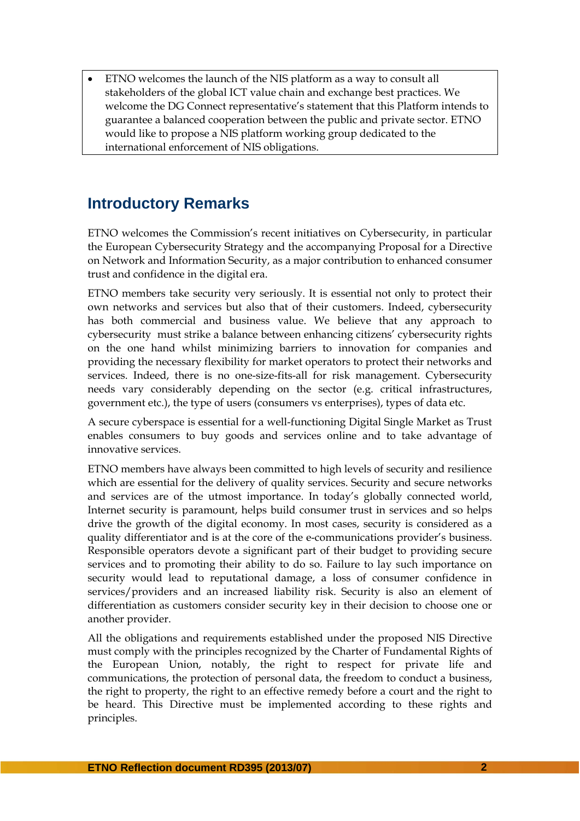ETNO welcomes the launch of the NIS platform as a way to consult all stakeholders of the global ICT value chain and exchange best practices. We welcome the DG Connect representative's statement that this Platform intends to guarantee a balanced cooperation between the public and private sector. ETNO would like to propose a NIS platform working group dedicated to the international enforcement of NIS obligations.

## **Introductory Remarks**

ETNO welcomes the Commission's recent initiatives on Cybersecurity, in particular the European Cybersecurity Strategy and the accompanying Proposal for a Directive on Network and Information Security, as a major contribution to enhanced consumer trust and confidence in the digital era.

ETNO members take security very seriously. It is essential not only to protect their own networks and services but also that of their customers. Indeed, cybersecurity has both commercial and business value. We believe that any approach to cybersecurity must strike a balance between enhancing citizens' cybersecurity rights on the one hand whilst minimizing barriers to innovation for companies and providing the necessary flexibility for market operators to protect their networks and services. Indeed, there is no one-size-fits-all for risk management. Cybersecurity needs vary considerably depending on the sector (e.g. critical infrastructures, government etc.), the type of users (consumers vs enterprises), types of data etc.

A secure cyberspace is essential for a well-functioning Digital Single Market as Trust enables consumers to buy goods and services online and to take advantage of innovative services.

ETNO members have always been committed to high levels of security and resilience which are essential for the delivery of quality services. Security and secure networks and services are of the utmost importance. In today's globally connected world, Internet security is paramount, helps build consumer trust in services and so helps drive the growth of the digital economy. In most cases, security is considered as a quality differentiator and is at the core of the e-communications provider's business. Responsible operators devote a significant part of their budget to providing secure services and to promoting their ability to do so. Failure to lay such importance on security would lead to reputational damage, a loss of consumer confidence in services/providers and an increased liability risk. Security is also an element of differentiation as customers consider security key in their decision to choose one or another provider.

All the obligations and requirements established under the proposed NIS Directive must comply with the principles recognized by the Charter of Fundamental Rights of the European Union, notably, the right to respect for private life and communications, the protection of personal data, the freedom to conduct a business, the right to property, the right to an effective remedy before a court and the right to be heard. This Directive must be implemented according to these rights and principles.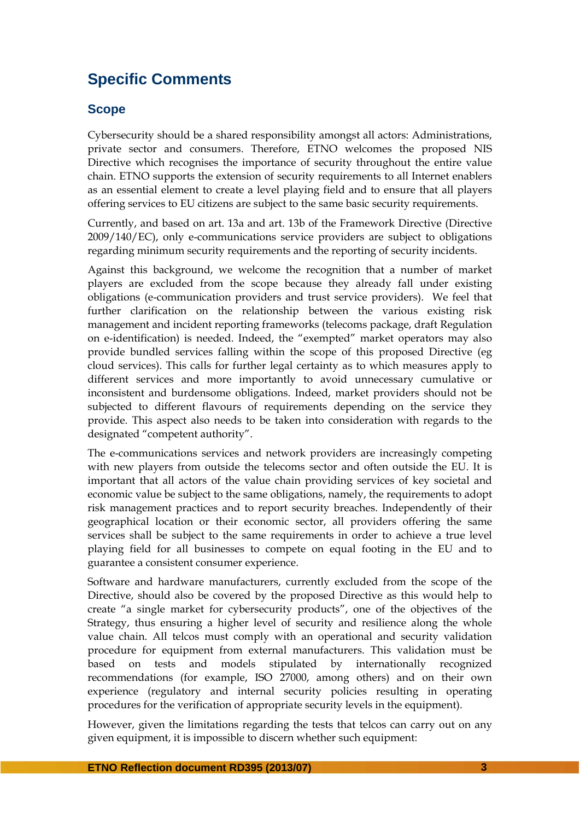# **Specific Comments**

### **Scope**

Cybersecurity should be a shared responsibility amongst all actors: Administrations, private sector and consumers. Therefore, ETNO welcomes the proposed NIS Directive which recognises the importance of security throughout the entire value chain. ETNO supports the extension of security requirements to all Internet enablers as an essential element to create a level playing field and to ensure that all players offering services to EU citizens are subject to the same basic security requirements.

Currently, and based on art. 13a and art. 13b of the Framework Directive (Directive 2009/140/EC), only e-communications service providers are subject to obligations regarding minimum security requirements and the reporting of security incidents.

Against this background, we welcome the recognition that a number of market players are excluded from the scope because they already fall under existing obligations (e-communication providers and trust service providers). We feel that further clarification on the relationship between the various existing risk management and incident reporting frameworks (telecoms package, draft Regulation on e-identification) is needed. Indeed, the "exempted" market operators may also provide bundled services falling within the scope of this proposed Directive (eg cloud services). This calls for further legal certainty as to which measures apply to different services and more importantly to avoid unnecessary cumulative or inconsistent and burdensome obligations. Indeed, market providers should not be subjected to different flavours of requirements depending on the service they provide. This aspect also needs to be taken into consideration with regards to the designated "competent authority".

The e-communications services and network providers are increasingly competing with new players from outside the telecoms sector and often outside the EU. It is important that all actors of the value chain providing services of key societal and economic value be subject to the same obligations, namely, the requirements to adopt risk management practices and to report security breaches. Independently of their geographical location or their economic sector, all providers offering the same services shall be subject to the same requirements in order to achieve a true level playing field for all businesses to compete on equal footing in the EU and to guarantee a consistent consumer experience.

Software and hardware manufacturers, currently excluded from the scope of the Directive, should also be covered by the proposed Directive as this would help to create "a single market for cybersecurity products", one of the objectives of the Strategy, thus ensuring a higher level of security and resilience along the whole value chain. All telcos must comply with an operational and security validation procedure for equipment from external manufacturers. This validation must be based on tests and models stipulated by internationally recognized recommendations (for example, ISO 27000, among others) and on their own experience (regulatory and internal security policies resulting in operating procedures for the verification of appropriate security levels in the equipment).

However, given the limitations regarding the tests that telcos can carry out on any given equipment, it is impossible to discern whether such equipment: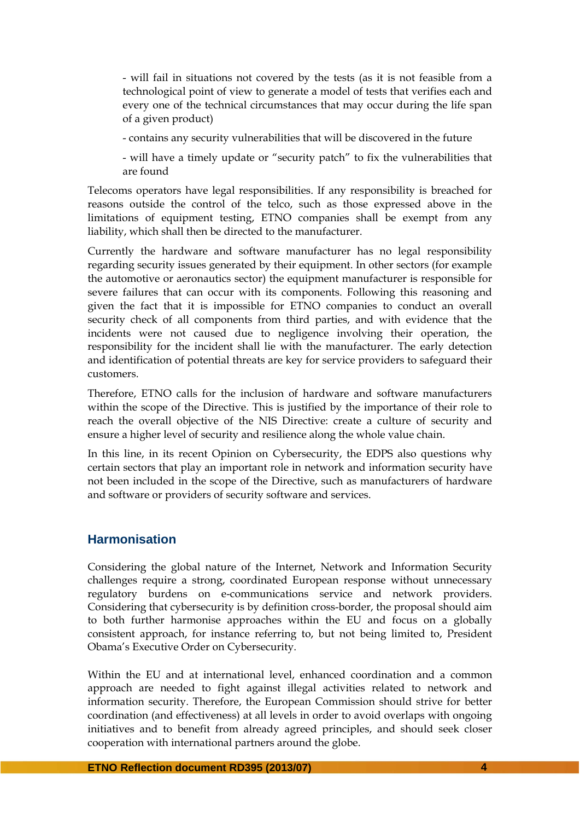- will fail in situations not covered by the tests (as it is not feasible from a technological point of view to generate a model of tests that verifies each and every one of the technical circumstances that may occur during the life span of a given product)

- contains any security vulnerabilities that will be discovered in the future

- will have a timely update or "security patch" to fix the vulnerabilities that are found

Telecoms operators have legal responsibilities. If any responsibility is breached for reasons outside the control of the telco, such as those expressed above in the limitations of equipment testing, ETNO companies shall be exempt from any liability, which shall then be directed to the manufacturer.

Currently the hardware and software manufacturer has no legal responsibility regarding security issues generated by their equipment. In other sectors (for example the automotive or aeronautics sector) the equipment manufacturer is responsible for severe failures that can occur with its components. Following this reasoning and given the fact that it is impossible for ETNO companies to conduct an overall security check of all components from third parties, and with evidence that the incidents were not caused due to negligence involving their operation, the responsibility for the incident shall lie with the manufacturer. The early detection and identification of potential threats are key for service providers to safeguard their customers.

Therefore, ETNO calls for the inclusion of hardware and software manufacturers within the scope of the Directive. This is justified by the importance of their role to reach the overall objective of the NIS Directive: create a culture of security and ensure a higher level of security and resilience along the whole value chain.

In this line, in its recent Opinion on Cybersecurity, the EDPS also questions why certain sectors that play an important role in network and information security have not been included in the scope of the Directive, such as manufacturers of hardware and software or providers of security software and services.

#### **Harmonisation**

Considering the global nature of the Internet, Network and Information Security challenges require a strong, coordinated European response without unnecessary regulatory burdens on e-communications service and network providers. Considering that cybersecurity is by definition cross-border, the proposal should aim to both further harmonise approaches within the EU and focus on a globally consistent approach, for instance referring to, but not being limited to, President Obama's Executive Order on Cybersecurity.

Within the EU and at international level, enhanced coordination and a common approach are needed to fight against illegal activities related to network and information security. Therefore, the European Commission should strive for better coordination (and effectiveness) at all levels in order to avoid overlaps with ongoing initiatives and to benefit from already agreed principles, and should seek closer cooperation with international partners around the globe.